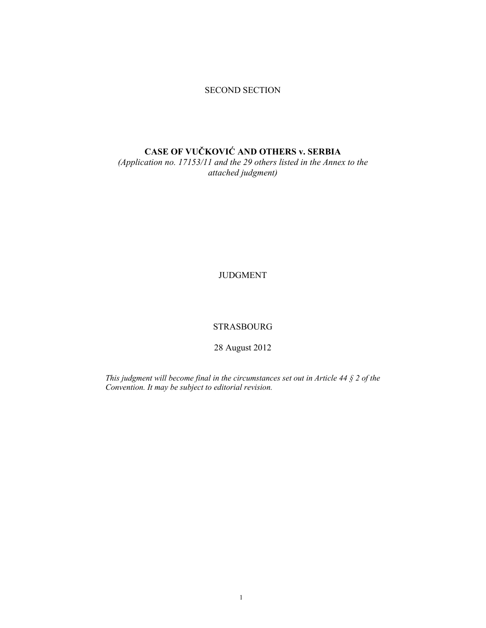### SECOND SECTION

# **CASE OF VUČKOVIĆ AND OTHERS v. SERBIA**

*(Application no. 17153/11 and the 29 others listed in the Annex to the attached judgment)* 

JUDGMENT

STRASBOURG

28 August 2012

*This judgment will become final in the circumstances set out in Article 44 § 2 of the Convention. It may be subject to editorial revision.*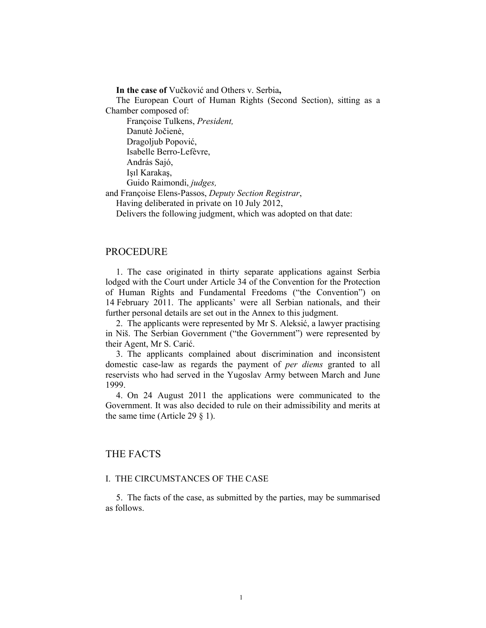**In the case of** Vučković and Others v. Serbia**,** 

The European Court of Human Rights (Second Section), sitting as a Chamber composed of:

 Françoise Tulkens, *President,*  Danutė Jočienė, Dragoljub Popović,

Isabelle Berro-Lefèvre,

András Sajó,

Işıl Karakaş,

Guido Raimondi, *judges,*

and Françoise Elens-Passos, *Deputy Section Registrar*,

Having deliberated in private on 10 July 2012,

Delivers the following judgment, which was adopted on that date:

### PROCEDURE

1. The case originated in thirty separate applications against Serbia lodged with the Court under Article 34 of the Convention for the Protection of Human Rights and Fundamental Freedoms ("the Convention") on 14 February 2011. The applicants' were all Serbian nationals, and their further personal details are set out in the Annex to this judgment.

2. The applicants were represented by Mr S. Aleksić, a lawyer practising in Niš. The Serbian Government ("the Government") were represented by their Agent, Mr S. Carić.

3. The applicants complained about discrimination and inconsistent domestic case-law as regards the payment of *per diems* granted to all reservists who had served in the Yugoslav Army between March and June 1999.

4. On 24 August 2011 the applications were communicated to the Government. It was also decided to rule on their admissibility and merits at the same time (Article 29 § 1).

## THE FACTS

### I. THE CIRCUMSTANCES OF THE CASE

5. The facts of the case, as submitted by the parties, may be summarised as follows.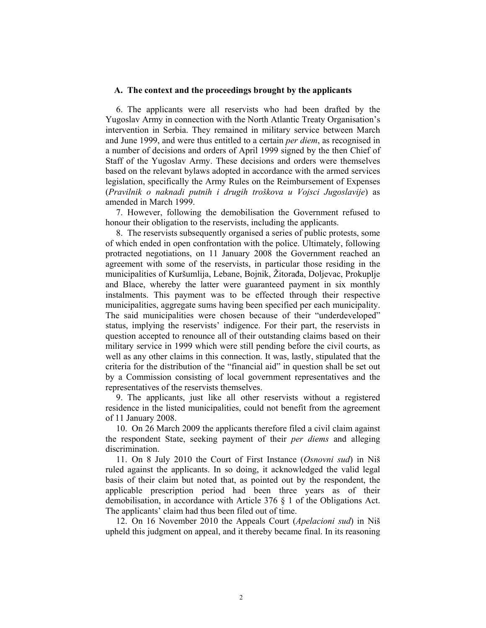#### **A. The context and the proceedings brought by the applicants**

6. The applicants were all reservists who had been drafted by the Yugoslav Army in connection with the North Atlantic Treaty Organisation's intervention in Serbia. They remained in military service between March and June 1999, and were thus entitled to a certain *per diem*, as recognised in a number of decisions and orders of April 1999 signed by the then Chief of Staff of the Yugoslav Army. These decisions and orders were themselves based on the relevant bylaws adopted in accordance with the armed services legislation, specifically the Army Rules on the Reimbursement of Expenses (*Pravilnik o naknadi putnih i drugih troškova u Vojsci Jugoslavije*) as amended in March 1999.

7. However, following the demobilisation the Government refused to honour their obligation to the reservists, including the applicants.

8. The reservists subsequently organised a series of public protests, some of which ended in open confrontation with the police. Ultimately, following protracted negotiations, on 11 January 2008 the Government reached an agreement with some of the reservists, in particular those residing in the municipalities of Kuršumlija, Lebane, Bojnik, Žitorađa, Doljevac, Prokuplje and Blace, whereby the latter were guaranteed payment in six monthly instalments. This payment was to be effected through their respective municipalities, aggregate sums having been specified per each municipality. The said municipalities were chosen because of their "underdeveloped" status, implying the reservists' indigence. For their part, the reservists in question accepted to renounce all of their outstanding claims based on their military service in 1999 which were still pending before the civil courts, as well as any other claims in this connection. It was, lastly, stipulated that the criteria for the distribution of the "financial aid" in question shall be set out by a Commission consisting of local government representatives and the representatives of the reservists themselves.

9. The applicants, just like all other reservists without a registered residence in the listed municipalities, could not benefit from the agreement of 11 January 2008.

10. On 26 March 2009 the applicants therefore filed a civil claim against the respondent State, seeking payment of their *per diems* and alleging discrimination.

11. On 8 July 2010 the Court of First Instance (*Osnovni sud*) in Niš ruled against the applicants. In so doing, it acknowledged the valid legal basis of their claim but noted that, as pointed out by the respondent, the applicable prescription period had been three years as of their demobilisation, in accordance with Article 376 § 1 of the Obligations Act. The applicants' claim had thus been filed out of time.

12. On 16 November 2010 the Appeals Court (*Apelacioni sud*) in Niš upheld this judgment on appeal, and it thereby became final. In its reasoning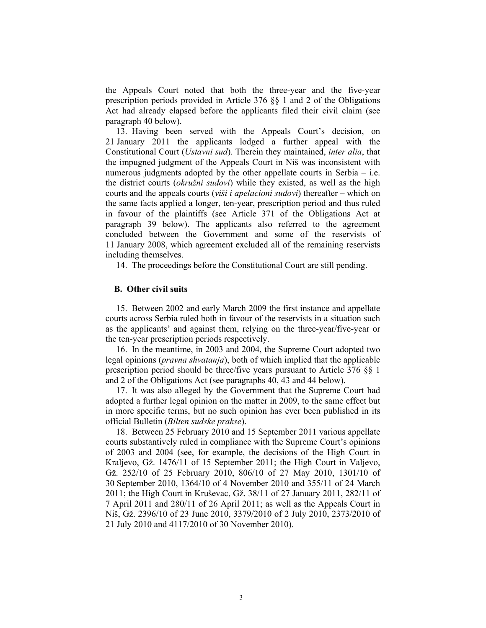the Appeals Court noted that both the three-year and the five-year prescription periods provided in Article 376 §§ 1 and 2 of the Obligations Act had already elapsed before the applicants filed their civil claim (see paragraph 40 below).

13. Having been served with the Appeals Court's decision, on 21 January 2011 the applicants lodged a further appeal with the Constitutional Court (*Ustavni sud*). Therein they maintained, *inter alia*, that the impugned judgment of the Appeals Court in Niš was inconsistent with numerous judgments adopted by the other appellate courts in Serbia – i.e. the district courts (*okružni sudovi*) while they existed, as well as the high courts and the appeals courts (*viši i apelacioni sudovi*) thereafter – which on the same facts applied a longer, ten-year, prescription period and thus ruled in favour of the plaintiffs (see Article 371 of the Obligations Act at paragraph 39 below). The applicants also referred to the agreement concluded between the Government and some of the reservists of 11 January 2008, which agreement excluded all of the remaining reservists including themselves.

14. The proceedings before the Constitutional Court are still pending.

#### **B. Other civil suits**

15. Between 2002 and early March 2009 the first instance and appellate courts across Serbia ruled both in favour of the reservists in a situation such as the applicants' and against them, relying on the three-year/five-year or the ten-year prescription periods respectively.

16. In the meantime, in 2003 and 2004, the Supreme Court adopted two legal opinions (*pravna shvatanja*), both of which implied that the applicable prescription period should be three/five years pursuant to Article 376 §§ 1 and 2 of the Obligations Act (see paragraphs 40, 43 and 44 below).

17. It was also alleged by the Government that the Supreme Court had adopted a further legal opinion on the matter in 2009, to the same effect but in more specific terms, but no such opinion has ever been published in its official Bulletin (*Bilten sudske prakse*).

18. Between 25 February 2010 and 15 September 2011 various appellate courts substantively ruled in compliance with the Supreme Court's opinions of 2003 and 2004 (see, for example, the decisions of the High Court in Kraljevo, Gž. 1476/11 of 15 September 2011; the High Court in Valjevo, Gž. 252/10 of 25 February 2010, 806/10 of 27 May 2010, 1301/10 of 30 September 2010, 1364/10 of 4 November 2010 and 355/11 of 24 March 2011; the High Court in Kruševac, Gž. 38/11 of 27 January 2011, 282/11 of 7 April 2011 and 280/11 of 26 April 2011; as well as the Appeals Court in Niš, Gž. 2396/10 of 23 June 2010, 3379/2010 of 2 July 2010, 2373/2010 of 21 July 2010 and 4117/2010 of 30 November 2010).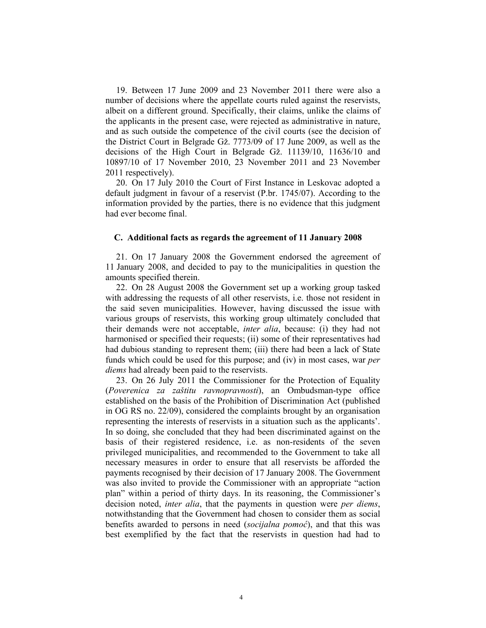19. Between 17 June 2009 and 23 November 2011 there were also a number of decisions where the appellate courts ruled against the reservists, albeit on a different ground. Specifically, their claims, unlike the claims of the applicants in the present case, were rejected as administrative in nature, and as such outside the competence of the civil courts (see the decision of the District Court in Belgrade Gž. 7773/09 of 17 June 2009, as well as the decisions of the High Court in Belgrade Gž. 11139/10, 11636/10 and 10897/10 of 17 November 2010, 23 November 2011 and 23 November 2011 respectively).

20. On 17 July 2010 the Court of First Instance in Leskovac adopted a default judgment in favour of a reservist (P.br. 1745/07). According to the information provided by the parties, there is no evidence that this judgment had ever become final.

#### **C. Additional facts as regards the agreement of 11 January 2008**

21. On 17 January 2008 the Government endorsed the agreement of 11 January 2008, and decided to pay to the municipalities in question the amounts specified therein.

22. On 28 August 2008 the Government set up a working group tasked with addressing the requests of all other reservists, i.e. those not resident in the said seven municipalities. However, having discussed the issue with various groups of reservists, this working group ultimately concluded that their demands were not acceptable, *inter alia*, because: (i) they had not harmonised or specified their requests; (ii) some of their representatives had had dubious standing to represent them; (iii) there had been a lack of State funds which could be used for this purpose; and (iv) in most cases, war *per diems* had already been paid to the reservists.

23. On 26 July 2011 the Commissioner for the Protection of Equality (*Poverenica za zaštitu ravnopravnosti*), an Ombudsman-type office established on the basis of the Prohibition of Discrimination Act (published in OG RS no. 22/09), considered the complaints brought by an organisation representing the interests of reservists in a situation such as the applicants'. In so doing, she concluded that they had been discriminated against on the basis of their registered residence, i.e. as non-residents of the seven privileged municipalities, and recommended to the Government to take all necessary measures in order to ensure that all reservists be afforded the payments recognised by their decision of 17 January 2008. The Government was also invited to provide the Commissioner with an appropriate "action plan" within a period of thirty days. In its reasoning, the Commissioner's decision noted, *inter alia*, that the payments in question were *per diems*, notwithstanding that the Government had chosen to consider them as social benefits awarded to persons in need (*socijalna pomoć*), and that this was best exemplified by the fact that the reservists in question had had to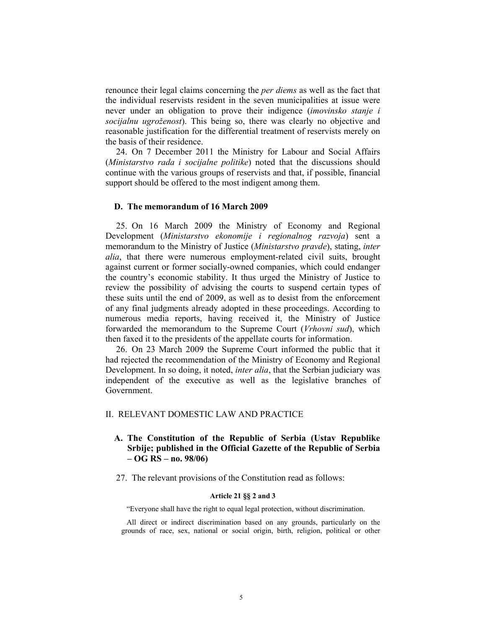renounce their legal claims concerning the *per diems* as well as the fact that the individual reservists resident in the seven municipalities at issue were never under an obligation to prove their indigence (*imovinsko stanje i socijalnu ugroženost*). This being so, there was clearly no objective and reasonable justification for the differential treatment of reservists merely on the basis of their residence.

24. On 7 December 2011 the Ministry for Labour and Social Affairs (*Ministarstvo rada i socijalne politike*) noted that the discussions should continue with the various groups of reservists and that, if possible, financial support should be offered to the most indigent among them.

### **D. The memorandum of 16 March 2009**

25. On 16 March 2009 the Ministry of Economy and Regional Development (*Ministarstvo ekonomije i regionalnog razvoja*) sent a memorandum to the Ministry of Justice (*Ministarstvo pravde*), stating, *inter alia*, that there were numerous employment-related civil suits, brought against current or former socially-owned companies, which could endanger the country's economic stability. It thus urged the Ministry of Justice to review the possibility of advising the courts to suspend certain types of these suits until the end of 2009, as well as to desist from the enforcement of any final judgments already adopted in these proceedings. According to numerous media reports, having received it, the Ministry of Justice forwarded the memorandum to the Supreme Court (*Vrhovni sud*), which then faxed it to the presidents of the appellate courts for information.

26. On 23 March 2009 the Supreme Court informed the public that it had rejected the recommendation of the Ministry of Economy and Regional Development. In so doing, it noted, *inter alia*, that the Serbian judiciary was independent of the executive as well as the legislative branches of Government.

### II. RELEVANT DOMESTIC LAW AND PRACTICE

## **A. The Constitution of the Republic of Serbia (Ustav Republike Srbije; published in the Official Gazette of the Republic of Serbia – OG RS – no. 98/06)**

27. The relevant provisions of the Constitution read as follows:

### **Article 21 §§ 2 and 3**

"Everyone shall have the right to equal legal protection, without discrimination.

All direct or indirect discrimination based on any grounds, particularly on the grounds of race, sex, national or social origin, birth, religion, political or other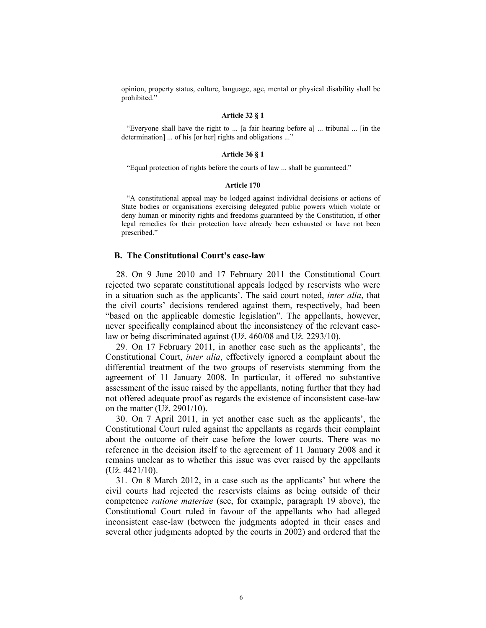opinion, property status, culture, language, age, mental or physical disability shall be prohibited."

#### **Article 32 § 1**

"Everyone shall have the right to ... [a fair hearing before a] ... tribunal ... [in the determination] ... of his [or her] rights and obligations ..."

#### **Article 36 § 1**

"Equal protection of rights before the courts of law ... shall be guaranteed."

#### **Article 170**

"A constitutional appeal may be lodged against individual decisions or actions of State bodies or organisations exercising delegated public powers which violate or deny human or minority rights and freedoms guaranteed by the Constitution, if other legal remedies for their protection have already been exhausted or have not been prescribed."

### **B. The Constitutional Court's case-law**

28. On 9 June 2010 and 17 February 2011 the Constitutional Court rejected two separate constitutional appeals lodged by reservists who were in a situation such as the applicants'. The said court noted, *inter alia*, that the civil courts' decisions rendered against them, respectively, had been "based on the applicable domestic legislation". The appellants, however, never specifically complained about the inconsistency of the relevant caselaw or being discriminated against (Už. 460/08 and Už. 2293/10).

29. On 17 February 2011, in another case such as the applicants', the Constitutional Court, *inter alia*, effectively ignored a complaint about the differential treatment of the two groups of reservists stemming from the agreement of 11 January 2008. In particular, it offered no substantive assessment of the issue raised by the appellants, noting further that they had not offered adequate proof as regards the existence of inconsistent case-law on the matter (Už. 2901/10).

30. On 7 April 2011, in yet another case such as the applicants', the Constitutional Court ruled against the appellants as regards their complaint about the outcome of their case before the lower courts. There was no reference in the decision itself to the agreement of 11 January 2008 and it remains unclear as to whether this issue was ever raised by the appellants (Už. 4421/10).

31. On 8 March 2012, in a case such as the applicants' but where the civil courts had rejected the reservists claims as being outside of their competence *ratione materiae* (see, for example, paragraph 19 above), the Constitutional Court ruled in favour of the appellants who had alleged inconsistent case-law (between the judgments adopted in their cases and several other judgments adopted by the courts in 2002) and ordered that the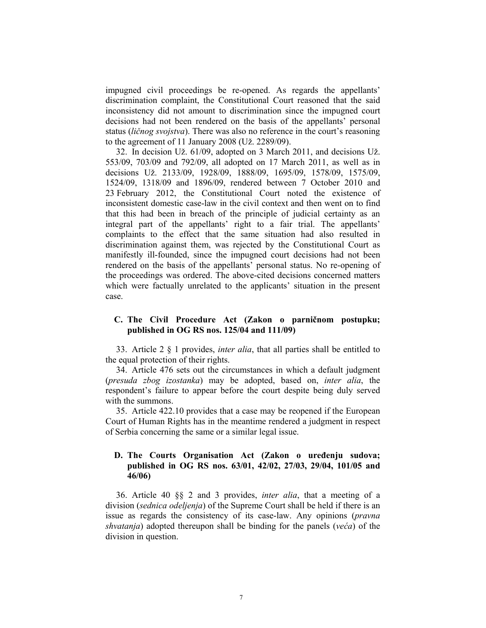impugned civil proceedings be re-opened. As regards the appellants' discrimination complaint, the Constitutional Court reasoned that the said inconsistency did not amount to discrimination since the impugned court decisions had not been rendered on the basis of the appellants' personal status (*ličnog svojstva*). There was also no reference in the court's reasoning to the agreement of 11 January 2008 (Už. 2289/09).

32. In decision Už. 61/09, adopted on 3 March 2011, and decisions Už. 553/09, 703/09 and 792/09, all adopted on 17 March 2011, as well as in decisions Už. 2133/09, 1928/09, 1888/09, 1695/09, 1578/09, 1575/09, 1524/09, 1318/09 and 1896/09, rendered between 7 October 2010 and 23 February 2012, the Constitutional Court noted the existence of inconsistent domestic case-law in the civil context and then went on to find that this had been in breach of the principle of judicial certainty as an integral part of the appellants' right to a fair trial. The appellants' complaints to the effect that the same situation had also resulted in discrimination against them, was rejected by the Constitutional Court as manifestly ill-founded, since the impugned court decisions had not been rendered on the basis of the appellants' personal status. No re-opening of the proceedings was ordered. The above-cited decisions concerned matters which were factually unrelated to the applicants' situation in the present case.

### **C. The Civil Procedure Act (Zakon o parničnom postupku; published in OG RS nos. 125/04 and 111/09)**

33. Article 2 § 1 provides, *inter alia*, that all parties shall be entitled to the equal protection of their rights.

34. Article 476 sets out the circumstances in which a default judgment (*presuda zbog izostanka*) may be adopted, based on, *inter alia*, the respondent's failure to appear before the court despite being duly served with the summons.

35. Article 422.10 provides that a case may be reopened if the European Court of Human Rights has in the meantime rendered a judgment in respect of Serbia concerning the same or a similar legal issue.

### **D. The Courts Organisation Act (Zakon o uređenju sudova; published in OG RS nos. 63/01, 42/02, 27/03, 29/04, 101/05 and 46/06)**

36. Article 40 §§ 2 and 3 provides, *inter alia*, that a meeting of a division (*sednica odeljenja*) of the Supreme Court shall be held if there is an issue as regards the consistency of its case-law. Any opinions (*pravna shvatanja*) adopted thereupon shall be binding for the panels (*veća*) of the division in question.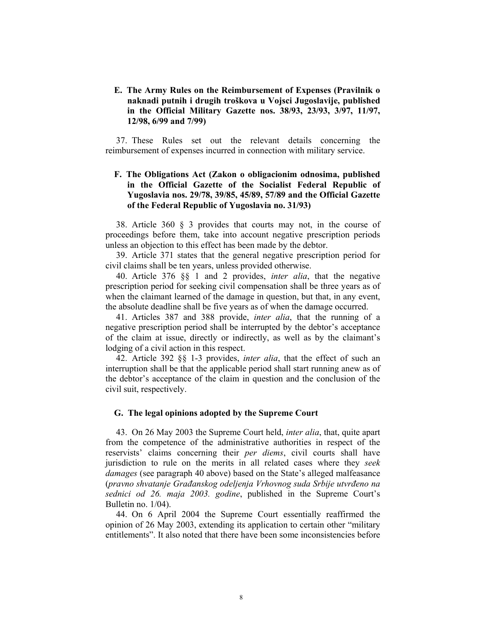### **E. The Army Rules on the Reimbursement of Expenses (Pravilnik o naknadi putnih i drugih troškova u Vojsci Jugoslavije, published in the Official Military Gazette nos. 38/93, 23/93, 3/97, 11/97, 12/98, 6/99 and 7/99)**

37. These Rules set out the relevant details concerning the reimbursement of expenses incurred in connection with military service.

## **F. The Obligations Act (Zakon o obligacionim odnosima, published in the Official Gazette of the Socialist Federal Republic of Yugoslavia nos. 29/78, 39/85, 45/89, 57/89 and the Official Gazette of the Federal Republic of Yugoslavia no. 31/93)**

38. Article 360 § 3 provides that courts may not, in the course of proceedings before them, take into account negative prescription periods unless an objection to this effect has been made by the debtor.

39. Article 371 states that the general negative prescription period for civil claims shall be ten years, unless provided otherwise.

40. Article 376 §§ 1 and 2 provides, *inter alia*, that the negative prescription period for seeking civil compensation shall be three years as of when the claimant learned of the damage in question, but that, in any event, the absolute deadline shall be five years as of when the damage occurred.

41. Articles 387 and 388 provide, *inter alia*, that the running of a negative prescription period shall be interrupted by the debtor's acceptance of the claim at issue, directly or indirectly, as well as by the claimant's lodging of a civil action in this respect.

42. Article 392 §§ 1-3 provides, *inter alia*, that the effect of such an interruption shall be that the applicable period shall start running anew as of the debtor's acceptance of the claim in question and the conclusion of the civil suit, respectively.

### **G. The legal opinions adopted by the Supreme Court**

43. On 26 May 2003 the Supreme Court held, *inter alia*, that, quite apart from the competence of the administrative authorities in respect of the reservists' claims concerning their *per diems*, civil courts shall have jurisdiction to rule on the merits in all related cases where they *seek damages* (see paragraph 40 above) based on the State's alleged malfeasance (*pravno shvatanje Građanskog odeljenja Vrhovnog suda Srbije utvrđeno na sednici od 26. maja 2003. godine*, published in the Supreme Court's Bulletin no. 1/04).

44. On 6 April 2004 the Supreme Court essentially reaffirmed the opinion of 26 May 2003, extending its application to certain other "military entitlements". It also noted that there have been some inconsistencies before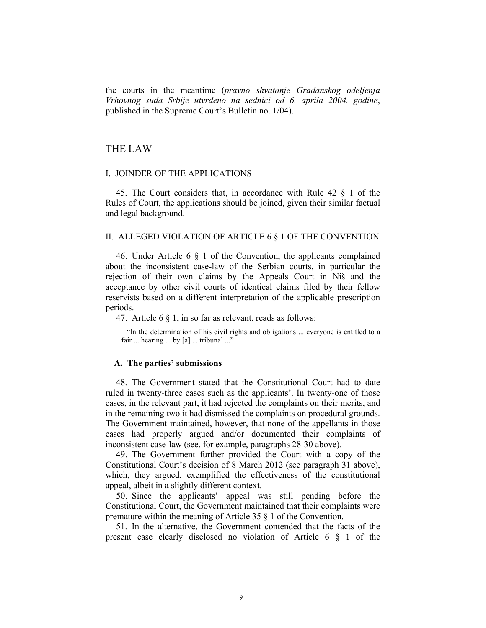the courts in the meantime (*pravno shvatanje Građanskog odeljenja Vrhovnog suda Srbije utvrđeno na sednici od 6. aprila 2004. godine*, published in the Supreme Court's Bulletin no. 1/04).

## THE LAW

#### I. JOINDER OF THE APPLICATIONS

45. The Court considers that, in accordance with Rule 42 § 1 of the Rules of Court, the applications should be joined, given their similar factual and legal background.

#### II. ALLEGED VIOLATION OF ARTICLE 6 § 1 OF THE CONVENTION

46. Under Article 6 § 1 of the Convention, the applicants complained about the inconsistent case-law of the Serbian courts, in particular the rejection of their own claims by the Appeals Court in Niš and the acceptance by other civil courts of identical claims filed by their fellow reservists based on a different interpretation of the applicable prescription periods.

47. Article 6 § 1, in so far as relevant, reads as follows:

"In the determination of his civil rights and obligations ... everyone is entitled to a fair ... hearing ... by [a] ... tribunal ..."

#### **A. The parties' submissions**

48. The Government stated that the Constitutional Court had to date ruled in twenty-three cases such as the applicants'. In twenty-one of those cases, in the relevant part, it had rejected the complaints on their merits, and in the remaining two it had dismissed the complaints on procedural grounds. The Government maintained, however, that none of the appellants in those cases had properly argued and/or documented their complaints of inconsistent case-law (see, for example, paragraphs 28-30 above).

49. The Government further provided the Court with a copy of the Constitutional Court's decision of 8 March 2012 (see paragraph 31 above), which, they argued, exemplified the effectiveness of the constitutional appeal, albeit in a slightly different context.

50. Since the applicants' appeal was still pending before the Constitutional Court, the Government maintained that their complaints were premature within the meaning of Article 35 § 1 of the Convention.

51. In the alternative, the Government contended that the facts of the present case clearly disclosed no violation of Article 6 § 1 of the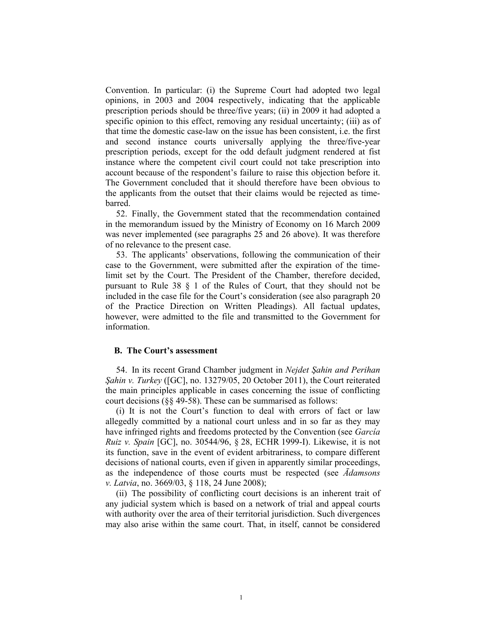Convention. In particular: (i) the Supreme Court had adopted two legal opinions, in 2003 and 2004 respectively, indicating that the applicable prescription periods should be three/five years; (ii) in 2009 it had adopted a specific opinion to this effect, removing any residual uncertainty; (iii) as of that time the domestic case-law on the issue has been consistent, i.e. the first and second instance courts universally applying the three/five-year prescription periods, except for the odd default judgment rendered at fist instance where the competent civil court could not take prescription into account because of the respondent's failure to raise this objection before it. The Government concluded that it should therefore have been obvious to the applicants from the outset that their claims would be rejected as timebarred.

52. Finally, the Government stated that the recommendation contained in the memorandum issued by the Ministry of Economy on 16 March 2009 was never implemented (see paragraphs 25 and 26 above). It was therefore of no relevance to the present case.

53. The applicants' observations, following the communication of their case to the Government, were submitted after the expiration of the timelimit set by the Court. The President of the Chamber, therefore decided, pursuant to Rule 38 § 1 of the Rules of Court, that they should not be included in the case file for the Court's consideration (see also paragraph 20 of the Practice Direction on Written Pleadings). All factual updates, however, were admitted to the file and transmitted to the Government for information.

### **B. The Court's assessment**

54. In its recent Grand Chamber judgment in *Nejdet Şahin and Perihan Şahin v. Turkey* ([GC], no. 13279/05, 20 October 2011), the Court reiterated the main principles applicable in cases concerning the issue of conflicting court decisions (§§ 49-58). These can be summarised as follows:

(i) It is not the Court's function to deal with errors of fact or law allegedly committed by a national court unless and in so far as they may have infringed rights and freedoms protected by the Convention (see *García Ruiz v. Spain* [GC], no. 30544/96, § 28, ECHR 1999-I). Likewise, it is not its function, save in the event of evident arbitrariness, to compare different decisions of national courts, even if given in apparently similar proceedings, as the independence of those courts must be respected (see *Ādamsons v. Latvia*, no. 3669/03, § 118, 24 June 2008);

(ii) The possibility of conflicting court decisions is an inherent trait of any judicial system which is based on a network of trial and appeal courts with authority over the area of their territorial jurisdiction. Such divergences may also arise within the same court. That, in itself, cannot be considered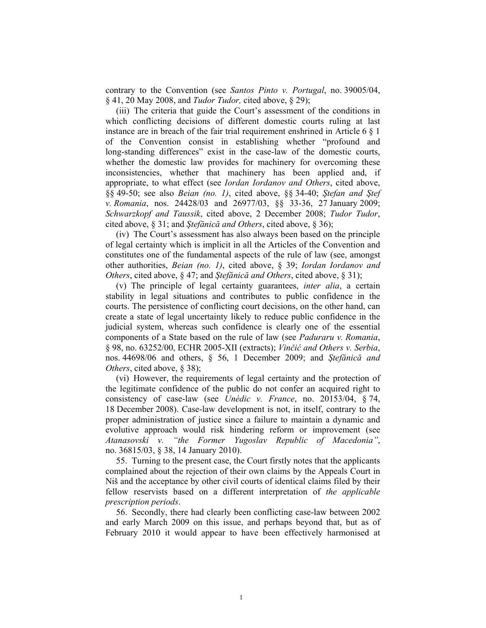contrary to the Convention (see *Santos Pinto v. Portugal*, no. 39005/04, § 41, 20 May 2008, and *Tudor Tudor,* cited above, § 29);

(iii) The criteria that guide the Court's assessment of the conditions in which conflicting decisions of different domestic courts ruling at last instance are in breach of the fair trial requirement enshrined in Article 6 § 1 of the Convention consist in establishing whether "profound and long-standing differences" exist in the case-law of the domestic courts, whether the domestic law provides for machinery for overcoming these inconsistencies, whether that machinery has been applied and, if appropriate, to what effect (see *Iordan Iordanov and Others*, cited above, §§ 49-50; see also *Beian (no. 1)*, cited above, §§ 34-40; *Ştefan and Ştef v. Romania*, nos. 24428/03 and 26977/03, §§ 33-36, 27 January 2009; *Schwarzkopf and Taussik*, cited above, 2 December 2008; *Tudor Tudor*, cited above, § 31; and *Ştefănică and Others*, cited above, § 36);

(iv) The Court's assessment has also always been based on the principle of legal certainty which is implicit in all the Articles of the Convention and constitutes one of the fundamental aspects of the rule of law (see, amongst other authorities, *Beian (no. 1)*, cited above, § 39; *Iordan Iordanov and Others*, cited above, § 47; and *Ştefănică and Others*, cited above, § 31);

(v) The principle of legal certainty guarantees, *inter alia*, a certain stability in legal situations and contributes to public confidence in the courts. The persistence of conflicting court decisions, on the other hand, can create a state of legal uncertainty likely to reduce public confidence in the judicial system, whereas such confidence is clearly one of the essential components of a State based on the rule of law (see *Paduraru v. Romania*, § 98, no. 63252/00, ECHR 2005-XII (extracts); *Vinčić and Others v. Serbia*, nos. 44698/06 and others, § 56, 1 December 2009; and *Ştefănică and Others*, cited above, § 38);

(vi) However, the requirements of legal certainty and the protection of the legitimate confidence of the public do not confer an acquired right to consistency of case-law (see *Unédic v. France*, no. 20153/04, § 74, 18 December 2008). Case-law development is not, in itself, contrary to the proper administration of justice since a failure to maintain a dynamic and evolutive approach would risk hindering reform or improvement (see *Atanasovski v. "the Former Yugoslav Republic of Macedonia"*, no. 36815/03, § 38, 14 January 2010).

55. Turning to the present case, the Court firstly notes that the applicants complained about the rejection of their own claims by the Appeals Court in Niš and the acceptance by other civil courts of identical claims filed by their fellow reservists based on a different interpretation of *the applicable prescription periods*.

56. Secondly, there had clearly been conflicting case-law between 2002 and early March 2009 on this issue, and perhaps beyond that, but as of February 2010 it would appear to have been effectively harmonised at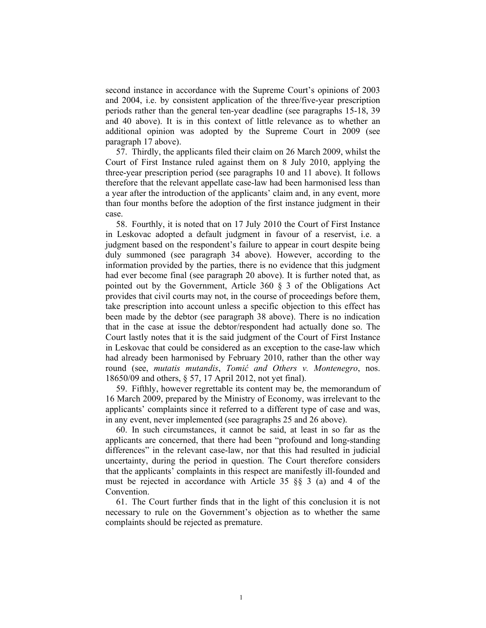second instance in accordance with the Supreme Court's opinions of 2003 and 2004, i.e. by consistent application of the three/five-year prescription periods rather than the general ten-year deadline (see paragraphs 15-18, 39 and 40 above). It is in this context of little relevance as to whether an additional opinion was adopted by the Supreme Court in 2009 (see paragraph 17 above).

57. Thirdly, the applicants filed their claim on 26 March 2009, whilst the Court of First Instance ruled against them on 8 July 2010, applying the three-year prescription period (see paragraphs 10 and 11 above). It follows therefore that the relevant appellate case-law had been harmonised less than a year after the introduction of the applicants' claim and, in any event, more than four months before the adoption of the first instance judgment in their case.

58. Fourthly, it is noted that on 17 July 2010 the Court of First Instance in Leskovac adopted a default judgment in favour of a reservist, i.e. a judgment based on the respondent's failure to appear in court despite being duly summoned (see paragraph 34 above). However, according to the information provided by the parties, there is no evidence that this judgment had ever become final (see paragraph 20 above). It is further noted that, as pointed out by the Government, Article 360 § 3 of the Obligations Act provides that civil courts may not, in the course of proceedings before them, take prescription into account unless a specific objection to this effect has been made by the debtor (see paragraph 38 above). There is no indication that in the case at issue the debtor/respondent had actually done so. The Court lastly notes that it is the said judgment of the Court of First Instance in Leskovac that could be considered as an exception to the case-law which had already been harmonised by February 2010, rather than the other way round (see, *mutatis mutandis*, *Tomić and Others v. Montenegro*, nos. 18650/09 and others, § 57, 17 April 2012, not yet final).

59. Fifthly, however regrettable its content may be, the memorandum of 16 March 2009, prepared by the Ministry of Economy, was irrelevant to the applicants' complaints since it referred to a different type of case and was, in any event, never implemented (see paragraphs 25 and 26 above).

60. In such circumstances, it cannot be said, at least in so far as the applicants are concerned, that there had been "profound and long-standing differences" in the relevant case-law, nor that this had resulted in judicial uncertainty, during the period in question. The Court therefore considers that the applicants' complaints in this respect are manifestly ill-founded and must be rejected in accordance with Article 35 §§ 3 (a) and 4 of the Convention.

61. The Court further finds that in the light of this conclusion it is not necessary to rule on the Government's objection as to whether the same complaints should be rejected as premature.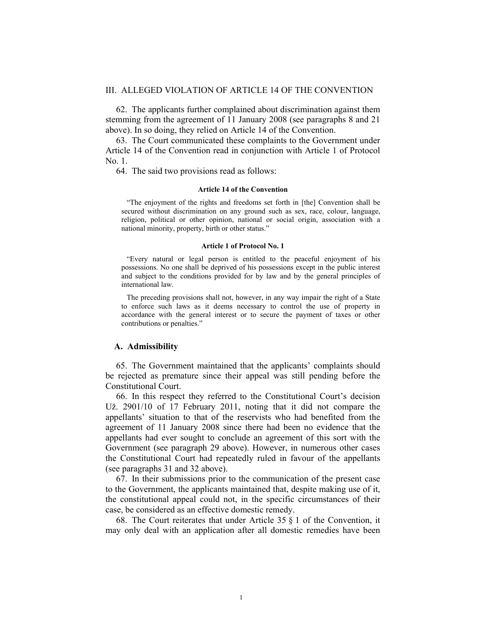#### III. ALLEGED VIOLATION OF ARTICLE 14 OF THE CONVENTION

62. The applicants further complained about discrimination against them stemming from the agreement of 11 January 2008 (see paragraphs 8 and 21 above). In so doing, they relied on Article 14 of the Convention.

63. The Court communicated these complaints to the Government under Article 14 of the Convention read in conjunction with Article 1 of Protocol No. 1.

64. The said two provisions read as follows:

#### **Article 14 of the Convention**

"The enjoyment of the rights and freedoms set forth in [the] Convention shall be secured without discrimination on any ground such as sex, race, colour, language, religion, political or other opinion, national or social origin, association with a national minority, property, birth or other status."

#### **Article 1 of Protocol No. 1**

"Every natural or legal person is entitled to the peaceful enjoyment of his possessions. No one shall be deprived of his possessions except in the public interest and subject to the conditions provided for by law and by the general principles of international law.

The preceding provisions shall not, however, in any way impair the right of a State to enforce such laws as it deems necessary to control the use of property in accordance with the general interest or to secure the payment of taxes or other contributions or penalties."

#### **A. Admissibility**

65. The Government maintained that the applicants' complaints should be rejected as premature since their appeal was still pending before the Constitutional Court.

66. In this respect they referred to the Constitutional Court's decision Už. 2901/10 of 17 February 2011, noting that it did not compare the appellants' situation to that of the reservists who had benefited from the agreement of 11 January 2008 since there had been no evidence that the appellants had ever sought to conclude an agreement of this sort with the Government (see paragraph 29 above). However, in numerous other cases the Constitutional Court had repeatedly ruled in favour of the appellants (see paragraphs 31 and 32 above).

67. In their submissions prior to the communication of the present case to the Government, the applicants maintained that, despite making use of it, the constitutional appeal could not, in the specific circumstances of their case, be considered as an effective domestic remedy.

68. The Court reiterates that under Article 35 § 1 of the Convention, it may only deal with an application after all domestic remedies have been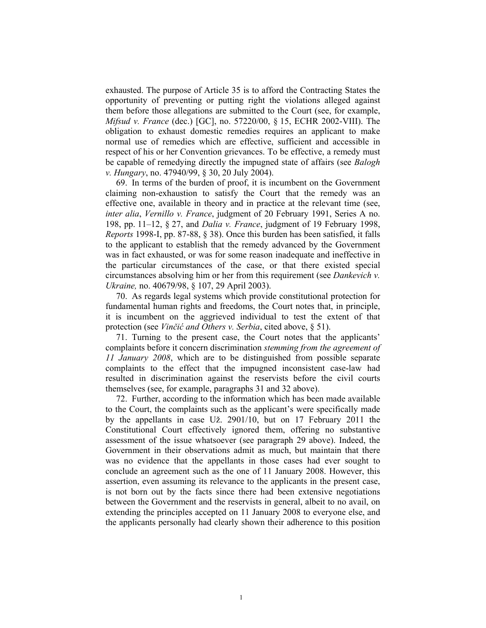exhausted. The purpose of Article 35 is to afford the Contracting States the opportunity of preventing or putting right the violations alleged against them before those allegations are submitted to the Court (see, for example, *Mifsud v. France* (dec.) [GC], no. 57220/00, § 15, ECHR 2002-VIII). The obligation to exhaust domestic remedies requires an applicant to make normal use of remedies which are effective, sufficient and accessible in respect of his or her Convention grievances. To be effective, a remedy must be capable of remedying directly the impugned state of affairs (see *Balogh v. Hungary*, no. 47940/99, § 30, 20 July 2004).

69. In terms of the burden of proof, it is incumbent on the Government claiming non-exhaustion to satisfy the Court that the remedy was an effective one, available in theory and in practice at the relevant time (see, *inter alia*, *Vernillo v. France*, judgment of 20 February 1991, Series A no. 198, pp. 11–12, § 27, and *Dalia v. France*, judgment of 19 February 1998, *Reports* 1998-I, pp. 87-88, § 38). Once this burden has been satisfied, it falls to the applicant to establish that the remedy advanced by the Government was in fact exhausted, or was for some reason inadequate and ineffective in the particular circumstances of the case, or that there existed special circumstances absolving him or her from this requirement (see *Dankevich v. Ukraine,* no. 40679/98, § 107, 29 April 2003).

70. As regards legal systems which provide constitutional protection for fundamental human rights and freedoms, the Court notes that, in principle, it is incumbent on the aggrieved individual to test the extent of that protection (see *Vinčić and Others v. Serbia*, cited above, § 51).

71. Turning to the present case, the Court notes that the applicants' complaints before it concern discrimination *stemming from the agreement of 11 January 2008*, which are to be distinguished from possible separate complaints to the effect that the impugned inconsistent case-law had resulted in discrimination against the reservists before the civil courts themselves (see, for example, paragraphs 31 and 32 above).

72. Further, according to the information which has been made available to the Court, the complaints such as the applicant's were specifically made by the appellants in case Už. 2901/10, but on 17 February 2011 the Constitutional Court effectively ignored them, offering no substantive assessment of the issue whatsoever (see paragraph 29 above). Indeed, the Government in their observations admit as much, but maintain that there was no evidence that the appellants in those cases had ever sought to conclude an agreement such as the one of 11 January 2008. However, this assertion, even assuming its relevance to the applicants in the present case, is not born out by the facts since there had been extensive negotiations between the Government and the reservists in general, albeit to no avail, on extending the principles accepted on 11 January 2008 to everyone else, and the applicants personally had clearly shown their adherence to this position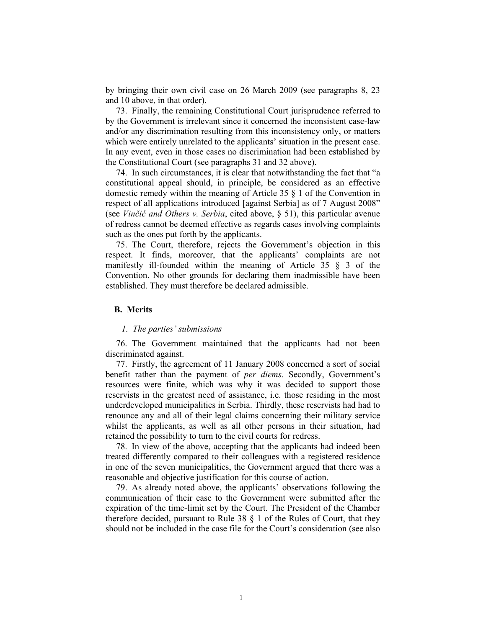by bringing their own civil case on 26 March 2009 (see paragraphs 8, 23 and 10 above, in that order).

73. Finally, the remaining Constitutional Court jurisprudence referred to by the Government is irrelevant since it concerned the inconsistent case-law and/or any discrimination resulting from this inconsistency only, or matters which were entirely unrelated to the applicants' situation in the present case. In any event, even in those cases no discrimination had been established by the Constitutional Court (see paragraphs 31 and 32 above).

74. In such circumstances, it is clear that notwithstanding the fact that "a constitutional appeal should, in principle, be considered as an effective domestic remedy within the meaning of Article 35 § 1 of the Convention in respect of all applications introduced [against Serbia] as of 7 August 2008" (see *Vinčić and Others v. Serbia*, cited above, § 51), this particular avenue of redress cannot be deemed effective as regards cases involving complaints such as the ones put forth by the applicants.

75. The Court, therefore, rejects the Government's objection in this respect. It finds, moreover, that the applicants' complaints are not manifestly ill-founded within the meaning of Article 35 § 3 of the Convention. No other grounds for declaring them inadmissible have been established. They must therefore be declared admissible.

### **B. Merits**

#### *1. The parties' submissions*

76. The Government maintained that the applicants had not been discriminated against.

77. Firstly, the agreement of 11 January 2008 concerned a sort of social benefit rather than the payment of *per diems*. Secondly, Government's resources were finite, which was why it was decided to support those reservists in the greatest need of assistance, i.e. those residing in the most underdeveloped municipalities in Serbia. Thirdly, these reservists had had to renounce any and all of their legal claims concerning their military service whilst the applicants, as well as all other persons in their situation, had retained the possibility to turn to the civil courts for redress.

78. In view of the above, accepting that the applicants had indeed been treated differently compared to their colleagues with a registered residence in one of the seven municipalities, the Government argued that there was a reasonable and objective justification for this course of action.

79. As already noted above, the applicants' observations following the communication of their case to the Government were submitted after the expiration of the time-limit set by the Court. The President of the Chamber therefore decided, pursuant to Rule 38 § 1 of the Rules of Court, that they should not be included in the case file for the Court's consideration (see also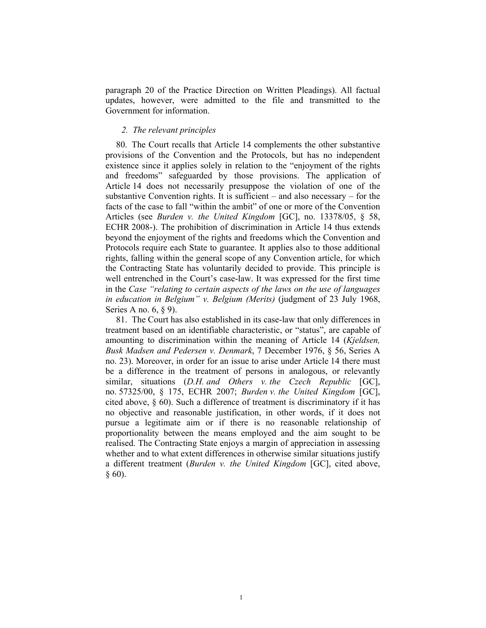paragraph 20 of the Practice Direction on Written Pleadings). All factual updates, however, were admitted to the file and transmitted to the Government for information.

### *2. The relevant principles*

80. The Court recalls that Article 14 complements the other substantive provisions of the Convention and the Protocols, but has no independent existence since it applies solely in relation to the "enjoyment of the rights and freedoms" safeguarded by those provisions. The application of Article 14 does not necessarily presuppose the violation of one of the substantive Convention rights. It is sufficient – and also necessary – for the facts of the case to fall "within the ambit" of one or more of the Convention Articles (see *Burden v. the United Kingdom* [GC], no. 13378/05, § 58, ECHR 2008-). The prohibition of discrimination in Article 14 thus extends beyond the enjoyment of the rights and freedoms which the Convention and Protocols require each State to guarantee. It applies also to those additional rights, falling within the general scope of any Convention article, for which the Contracting State has voluntarily decided to provide. This principle is well entrenched in the Court's case-law. It was expressed for the first time in the *Case "relating to certain aspects of the laws on the use of languages in education in Belgium" v. Belgium (Merits)* (judgment of 23 July 1968, Series A no. 6, § 9).

81. The Court has also established in its case-law that only differences in treatment based on an identifiable characteristic, or "status", are capable of amounting to discrimination within the meaning of Article 14 (*Kjeldsen, Busk Madsen and Pedersen v. Denmark*, 7 December 1976, § 56, Series A no. 23). Moreover, in order for an issue to arise under Article 14 there must be a difference in the treatment of persons in analogous, or relevantly similar, situations (*D.H. and Others v. the Czech Republic* [GC], no. 57325/00, § 175, ECHR 2007; *Burden v. the United Kingdom* [GC], cited above, § 60). Such a difference of treatment is discriminatory if it has no objective and reasonable justification, in other words, if it does not pursue a legitimate aim or if there is no reasonable relationship of proportionality between the means employed and the aim sought to be realised. The Contracting State enjoys a margin of appreciation in assessing whether and to what extent differences in otherwise similar situations justify a different treatment (*Burden v. the United Kingdom* [GC], cited above,  $§ 60$ ).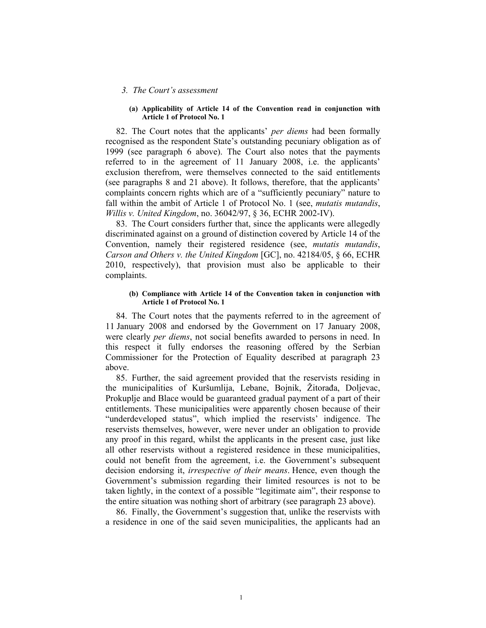#### *3. The Court's assessment*

#### **(a) Applicability of Article 14 of the Convention read in conjunction with Article 1 of Protocol No. 1**

82. The Court notes that the applicants' *per diems* had been formally recognised as the respondent State's outstanding pecuniary obligation as of 1999 (see paragraph 6 above). The Court also notes that the payments referred to in the agreement of 11 January 2008, i.e. the applicants' exclusion therefrom, were themselves connected to the said entitlements (see paragraphs 8 and 21 above). It follows, therefore, that the applicants' complaints concern rights which are of a "sufficiently pecuniary" nature to fall within the ambit of Article 1 of Protocol No. 1 (see, *mutatis mutandis*, *Willis v. United Kingdom*, no. 36042/97, § 36, ECHR 2002-IV).

83. The Court considers further that, since the applicants were allegedly discriminated against on a ground of distinction covered by Article 14 of the Convention, namely their registered residence (see, *mutatis mutandis*, *Carson and Others v. the United Kingdom* [GC], no. 42184/05, § 66, ECHR 2010, respectively), that provision must also be applicable to their complaints.

#### **(b) Compliance with Article 14 of the Convention taken in conjunction with Article 1 of Protocol No. 1**

84. The Court notes that the payments referred to in the agreement of 11 January 2008 and endorsed by the Government on 17 January 2008, were clearly *per diems*, not social benefits awarded to persons in need. In this respect it fully endorses the reasoning offered by the Serbian Commissioner for the Protection of Equality described at paragraph 23 above.

85. Further, the said agreement provided that the reservists residing in the municipalities of Kuršumlija, Lebane, Bojnik, Žitorađa, Doljevac, Prokuplje and Blace would be guaranteed gradual payment of a part of their entitlements. These municipalities were apparently chosen because of their "underdeveloped status", which implied the reservists' indigence. The reservists themselves, however, were never under an obligation to provide any proof in this regard, whilst the applicants in the present case, just like all other reservists without a registered residence in these municipalities, could not benefit from the agreement, i.e. the Government's subsequent decision endorsing it, *irrespective of their means*. Hence, even though the Government's submission regarding their limited resources is not to be taken lightly, in the context of a possible "legitimate aim", their response to the entire situation was nothing short of arbitrary (see paragraph 23 above).

86. Finally, the Government's suggestion that, unlike the reservists with a residence in one of the said seven municipalities, the applicants had an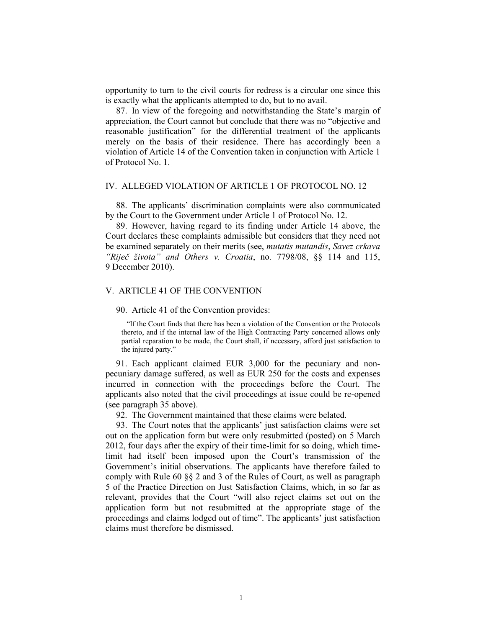opportunity to turn to the civil courts for redress is a circular one since this is exactly what the applicants attempted to do, but to no avail.

87. In view of the foregoing and notwithstanding the State's margin of appreciation, the Court cannot but conclude that there was no "objective and reasonable justification" for the differential treatment of the applicants merely on the basis of their residence. There has accordingly been a violation of Article 14 of the Convention taken in conjunction with Article 1 of Protocol No. 1.

#### IV. ALLEGED VIOLATION OF ARTICLE 1 OF PROTOCOL NO. 12

88. The applicants' discrimination complaints were also communicated by the Court to the Government under Article 1 of Protocol No. 12.

89. However, having regard to its finding under Article 14 above, the Court declares these complaints admissible but considers that they need not be examined separately on their merits (see, *mutatis mutandis*, *Savez crkava "Riječ života" and Others v. Croatia*, no. 7798/08, §§ 114 and 115, 9 December 2010).

### V. ARTICLE 41 OF THE CONVENTION

90. Article 41 of the Convention provides:

"If the Court finds that there has been a violation of the Convention or the Protocols thereto, and if the internal law of the High Contracting Party concerned allows only partial reparation to be made, the Court shall, if necessary, afford just satisfaction to the injured party."

91. Each applicant claimed EUR 3,000 for the pecuniary and nonpecuniary damage suffered, as well as EUR 250 for the costs and expenses incurred in connection with the proceedings before the Court. The applicants also noted that the civil proceedings at issue could be re-opened (see paragraph 35 above).

92. The Government maintained that these claims were belated.

93. The Court notes that the applicants' just satisfaction claims were set out on the application form but were only resubmitted (posted) on 5 March 2012, four days after the expiry of their time-limit for so doing, which timelimit had itself been imposed upon the Court's transmission of the Government's initial observations. The applicants have therefore failed to comply with Rule 60 §§ 2 and 3 of the Rules of Court, as well as paragraph 5 of the Practice Direction on Just Satisfaction Claims, which, in so far as relevant, provides that the Court "will also reject claims set out on the application form but not resubmitted at the appropriate stage of the proceedings and claims lodged out of time". The applicants' just satisfaction claims must therefore be dismissed.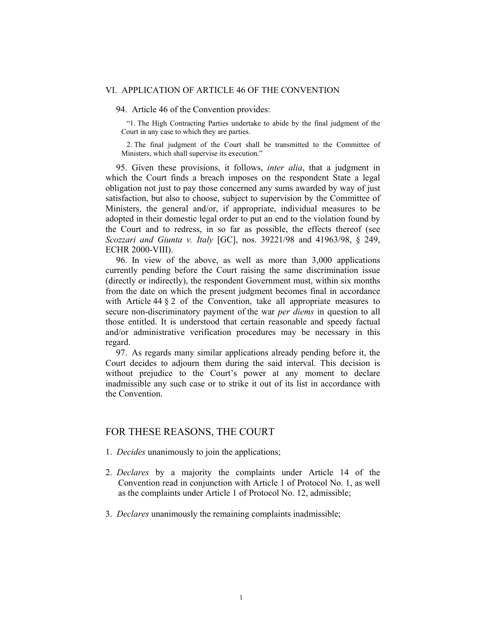#### VI. APPLICATION OF ARTICLE 46 OF THE CONVENTION

### 94. Article 46 of the Convention provides:

"1. The High Contracting Parties undertake to abide by the final judgment of the Court in any case to which they are parties.

2. The final judgment of the Court shall be transmitted to the Committee of Ministers, which shall supervise its execution."

95. Given these provisions, it follows, *inter alia*, that a judgment in which the Court finds a breach imposes on the respondent State a legal obligation not just to pay those concerned any sums awarded by way of just satisfaction, but also to choose, subject to supervision by the Committee of Ministers, the general and/or, if appropriate, individual measures to be adopted in their domestic legal order to put an end to the violation found by the Court and to redress, in so far as possible, the effects thereof (see *Scozzari and Giunta v. Italy* [GC], nos. 39221/98 and 41963/98, § 249, ECHR 2000-VIII).

96. In view of the above, as well as more than 3,000 applications currently pending before the Court raising the same discrimination issue (directly or indirectly), the respondent Government must, within six months from the date on which the present judgment becomes final in accordance with Article 44 § 2 of the Convention, take all appropriate measures to secure non-discriminatory payment of the war *per diems* in question to all those entitled. It is understood that certain reasonable and speedy factual and/or administrative verification procedures may be necessary in this regard.

97. As regards many similar applications already pending before it, the Court decides to adjourn them during the said interval. This decision is without prejudice to the Court's power at any moment to declare inadmissible any such case or to strike it out of its list in accordance with the Convention.

## FOR THESE REASONS, THE COURT

- 1. *Decides* unanimously to join the applications;
- 2. *Declares* by a majority the complaints under Article 14 of the Convention read in conjunction with Article 1 of Protocol No. 1, as well as the complaints under Article 1 of Protocol No. 12, admissible;
- 3. *Declares* unanimously the remaining complaints inadmissible;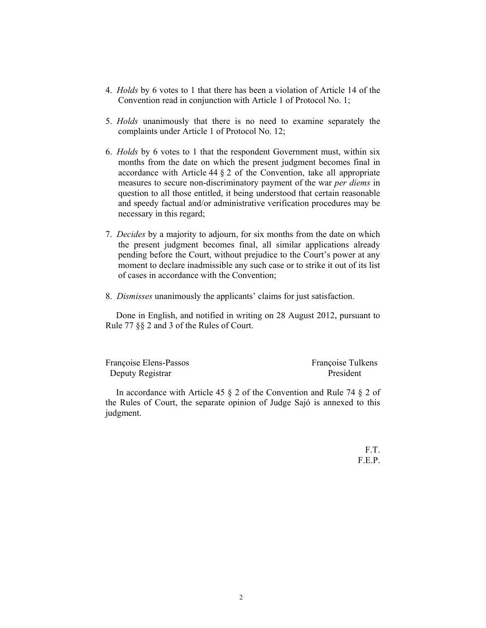- 4. *Holds* by 6 votes to 1 that there has been a violation of Article 14 of the Convention read in conjunction with Article 1 of Protocol No. 1;
- 5. *Holds* unanimously that there is no need to examine separately the complaints under Article 1 of Protocol No. 12;
- 6. *Holds* by 6 votes to 1 that the respondent Government must, within six months from the date on which the present judgment becomes final in accordance with Article 44 § 2 of the Convention, take all appropriate measures to secure non-discriminatory payment of the war *per diems* in question to all those entitled, it being understood that certain reasonable and speedy factual and/or administrative verification procedures may be necessary in this regard;
- 7. *Decides* by a majority to adjourn, for six months from the date on which the present judgment becomes final, all similar applications already pending before the Court, without prejudice to the Court's power at any moment to declare inadmissible any such case or to strike it out of its list of cases in accordance with the Convention;
- 8. *Dismisses* unanimously the applicants' claims for just satisfaction.

Done in English, and notified in writing on 28 August 2012, pursuant to Rule 77 §§ 2 and 3 of the Rules of Court.

| Françoise Elens-Passos | Françoise Tulkens |
|------------------------|-------------------|
| Deputy Registrar       | President         |

In accordance with Article 45  $\S$  2 of the Convention and Rule 74  $\S$  2 of the Rules of Court, the separate opinion of Judge Sajó is annexed to this judgment.

> F.T. F.E.P.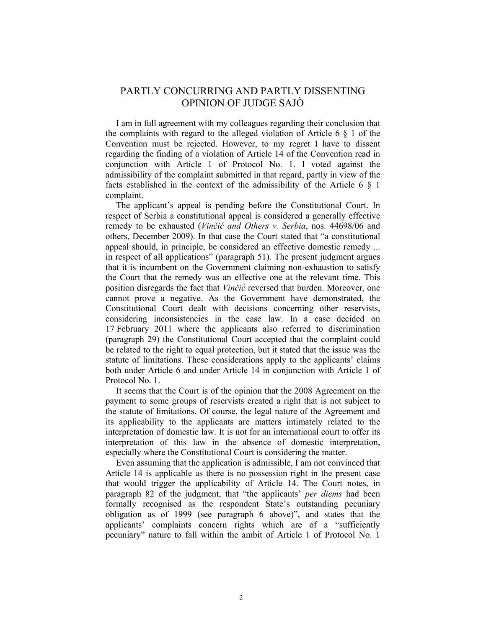## PARTLY CONCURRING AND PARTLY DISSENTING OPINION OF JUDGE SAJÒ

I am in full agreement with my colleagues regarding their conclusion that the complaints with regard to the alleged violation of Article  $6 \& 1$  of the Convention must be rejected. However, to my regret I have to dissent regarding the finding of a violation of Article 14 of the Convention read in conjunction with Article 1 of Protocol No. 1. I voted against the admissibility of the complaint submitted in that regard, partly in view of the facts established in the context of the admissibility of the Article 6  $\S$  1 complaint.

The applicant's appeal is pending before the Constitutional Court. In respect of Serbia a constitutional appeal is considered a generally effective remedy to be exhausted (*Vinčić and Others v. Serbia*, nos. 44698/06 and others, December 2009). In that case the Court stated that "a constitutional appeal should, in principle, be considered an effective domestic remedy ... in respect of all applications" (paragraph 51). The present judgment argues that it is incumbent on the Government claiming non-exhaustion to satisfy the Court that the remedy was an effective one at the relevant time. This position disregards the fact that *Vinčić* reversed that burden. Moreover, one cannot prove a negative. As the Government have demonstrated, the Constitutional Court dealt with decisions concerning other reservists, considering inconsistencies in the case law. In a case decided on 17 February 2011 where the applicants also referred to discrimination (paragraph 29) the Constitutional Court accepted that the complaint could be related to the right to equal protection, but it stated that the issue was the statute of limitations. These considerations apply to the applicants' claims both under Article 6 and under Article 14 in conjunction with Article 1 of Protocol No. 1.

It seems that the Court is of the opinion that the 2008 Agreement on the payment to some groups of reservists created a right that is not subject to the statute of limitations. Of course, the legal nature of the Agreement and its applicability to the applicants are matters intimately related to the interpretation of domestic law. It is not for an international court to offer its interpretation of this law in the absence of domestic interpretation, especially where the Constitutional Court is considering the matter.

Even assuming that the application is admissible, I am not convinced that Article 14 is applicable as there is no possession right in the present case that would trigger the applicability of Article 14. The Court notes, in paragraph 82 of the judgment, that "the applicants' *per diems* had been formally recognised as the respondent State's outstanding pecuniary obligation as of 1999 (see paragraph 6 above)", and states that the applicants' complaints concern rights which are of a "sufficiently pecuniary" nature to fall within the ambit of Article 1 of Protocol No. 1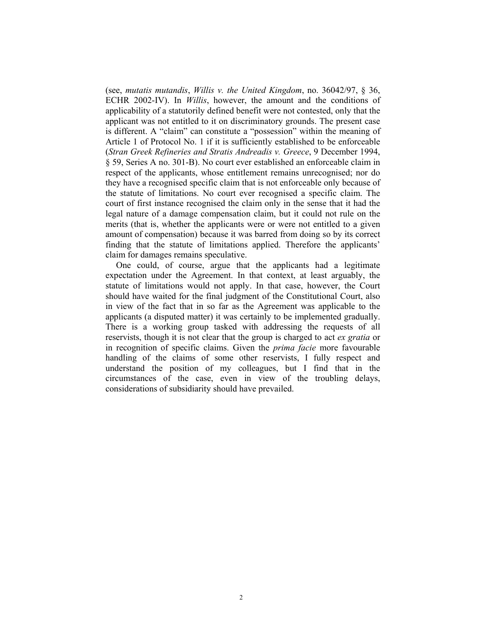(see, *mutatis mutandis*, *Willis v. the United Kingdom*, no. 36042/97, § 36, ECHR 2002-IV). In *Willis*, however, the amount and the conditions of applicability of a statutorily defined benefit were not contested, only that the applicant was not entitled to it on discriminatory grounds. The present case is different. A "claim" can constitute a "possession" within the meaning of Article 1 of Protocol No. 1 if it is sufficiently established to be enforceable (*Stran Greek Refineries and Stratis Andreadis v. Greece*, 9 December 1994, § 59, Series A no. 301-B). No court ever established an enforceable claim in respect of the applicants, whose entitlement remains unrecognised; nor do they have a recognised specific claim that is not enforceable only because of the statute of limitations. No court ever recognised a specific claim. The court of first instance recognised the claim only in the sense that it had the legal nature of a damage compensation claim, but it could not rule on the merits (that is, whether the applicants were or were not entitled to a given amount of compensation) because it was barred from doing so by its correct finding that the statute of limitations applied. Therefore the applicants' claim for damages remains speculative.

One could, of course, argue that the applicants had a legitimate expectation under the Agreement. In that context, at least arguably, the statute of limitations would not apply. In that case, however, the Court should have waited for the final judgment of the Constitutional Court, also in view of the fact that in so far as the Agreement was applicable to the applicants (a disputed matter) it was certainly to be implemented gradually. There is a working group tasked with addressing the requests of all reservists, though it is not clear that the group is charged to act *ex gratia* or in recognition of specific claims. Given the *prima facie* more favourable handling of the claims of some other reservists, I fully respect and understand the position of my colleagues, but I find that in the circumstances of the case, even in view of the troubling delays, considerations of subsidiarity should have prevailed.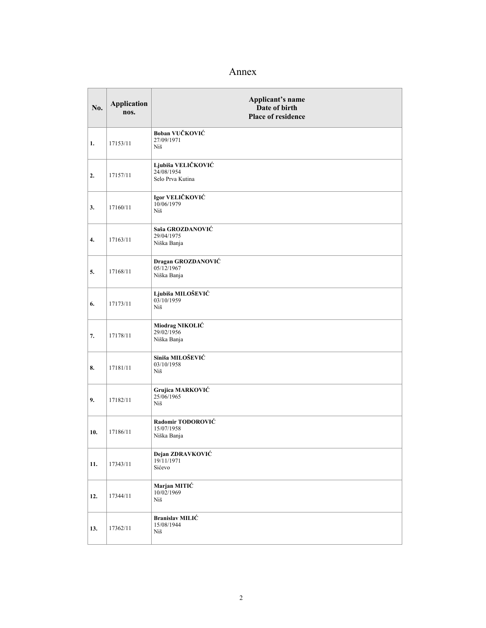# Annex

| No. | <b>Application</b><br>nos. | Applicant's name<br>Date of birth<br><b>Place of residence</b> |
|-----|----------------------------|----------------------------------------------------------------|
| 1.  | 17153/11                   | Boban VUČKOVIĆ<br>27/09/1971<br>Niš                            |
| 2.  | 17157/11                   | Ljubiša VELIČKOVIĆ<br>24/08/1954<br>Selo Prva Kutina           |
| 3.  | 17160/11                   | Igor VELIČKOVIĆ<br>10/06/1979<br>Niš                           |
| 4.  | 17163/11                   | Saša GROZDANOVIĆ<br>29/04/1975<br>Niška Banja                  |
| 5.  | 17168/11                   | Dragan GROZDANOVIĆ<br>05/12/1967<br>Niška Banja                |
| 6.  | 17173/11                   | Ljubiša MILOŠEVIĆ<br>03/10/1959<br>Niš                         |
| 7.  | 17178/11                   | Miodrag NIKOLIĆ<br>29/02/1956<br>Niška Banja                   |
| 8.  | 17181/11                   | Siniša MILOŠEVIĆ<br>03/10/1958<br>Niš                          |
| 9.  | 17182/11                   | Grujica MARKOVIĆ<br>25/06/1965<br>Niš                          |
| 10. | 17186/11                   | Radomir TODOROVIĆ<br>15/07/1958<br>Niška Banja                 |
| 11. | 17343/11                   | Dejan ZDRAVKOVIĆ<br>19/11/1971<br>Sićevo                       |
| 12. | 17344/11                   | Marjan MITIĆ<br>10/02/1969<br>Niš                              |
| 13. | 17362/11                   | <b>Branislav MILIĆ</b><br>15/08/1944<br>Niš                    |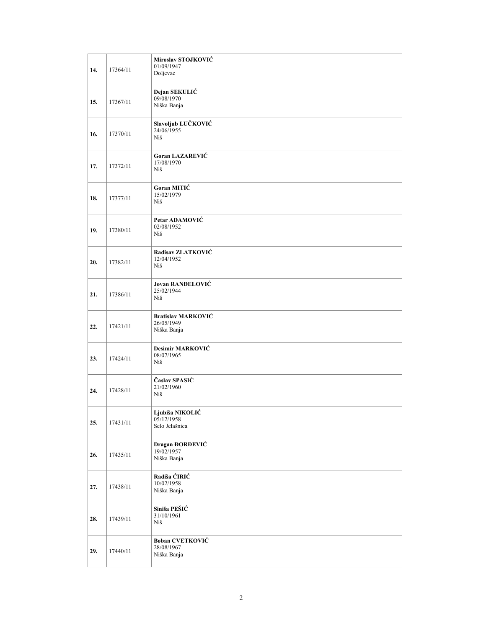| 14. | 17364/11 | Miroslav STOJKOVIĆ<br>01/09/1947<br>Doljevac           |
|-----|----------|--------------------------------------------------------|
| 15. | 17367/11 | Dejan SEKULIĆ<br>09/08/1970<br>Niška Banja             |
| 16. | 17370/11 | Slavoljub LUČKOVIĆ<br>24/06/1955<br>Niš                |
| 17. | 17372/11 | <b>Goran LAZAREVIĆ</b><br>17/08/1970<br>Niš            |
| 18. | 17377/11 | Goran MITIĆ<br>15/02/1979<br>Niš                       |
| 19. | 17380/11 | Petar ADAMOVIĆ<br>02/08/1952<br>Niš                    |
| 20. | 17382/11 | Radisav ZLATKOVIĆ<br>12/04/1952<br>Niš                 |
| 21. | 17386/11 | Jovan RANĐELOVIĆ<br>25/02/1944<br>Niš                  |
| 22. | 17421/11 | <b>Bratislav MARKOVIĆ</b><br>26/05/1949<br>Niška Banja |
| 23. | 17424/11 | Desimir MARKOVIĆ<br>08/07/1965<br>Niš                  |
| 24. | 17428/11 | Časlav SPASIĆ<br>21/02/1960<br>Niš                     |
| 25. | 17431/11 | Ljubiša NIKOLIĆ<br>05/12/1958<br>Selo Jelašnica        |
| 26. | 17435/11 | Dragan ĐORĐEVIĆ<br>19/02/1957<br>Niška Banja           |
| 27. | 17438/11 | Radiša ĆIRIĆ<br>10/02/1958<br>Niška Banja              |
| 28. | 17439/11 | Siniša PEŠIĆ<br>31/10/1961<br>Niš                      |
| 29. | 17440/11 | Boban CVETKOVIĆ<br>28/08/1967<br>Niška Banja           |